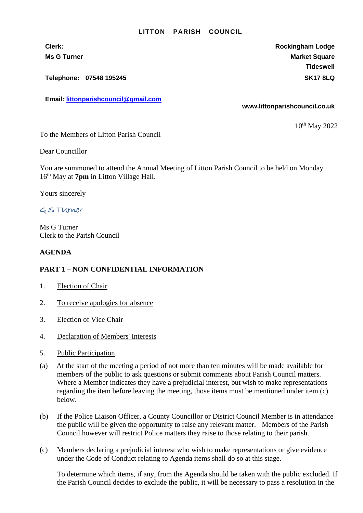## **LITTON PARISH COUNCIL**

**Telephone: 07548 195245 SK17 8LQ**

**Email: [littonparishcouncil@gmail.com](mailto:littonparishcouncil@gmail.com)**

**Clerk: Rockingham Lodge Ms G Turner Market Square** Market Square Market Square Market Square **Tideswell**

**www.littonparishcouncil.co.uk**

10<sup>th</sup> May 2022

To the Members of Litton Parish Council

Dear Councillor

You are summoned to attend the Annual Meeting of Litton Parish Council to be held on Monday 16 th May at **7pm** in Litton Village Hall.

Yours sincerely

## G S TUrner

Ms G Turner Clerk to the Parish Council

## **AGENDA**

## **PART 1 – NON CONFIDENTIAL INFORMATION**

- 1. Election of Chair
- 2. To receive apologies for absence
- 3. Election of Vice Chair
- 4. Declaration of Members' Interests
- 5. Public Participation
- (a) At the start of the meeting a period of not more than ten minutes will be made available for members of the public to ask questions or submit comments about Parish Council matters. Where a Member indicates they have a prejudicial interest, but wish to make representations regarding the item before leaving the meeting, those items must be mentioned under item (c) below.
- (b) If the Police Liaison Officer, a County Councillor or District Council Member is in attendance the public will be given the opportunity to raise any relevant matter. Members of the Parish Council however will restrict Police matters they raise to those relating to their parish.
- (c) Members declaring a prejudicial interest who wish to make representations or give evidence under the Code of Conduct relating to Agenda items shall do so at this stage.

To determine which items, if any, from the Agenda should be taken with the public excluded. If the Parish Council decides to exclude the public, it will be necessary to pass a resolution in the